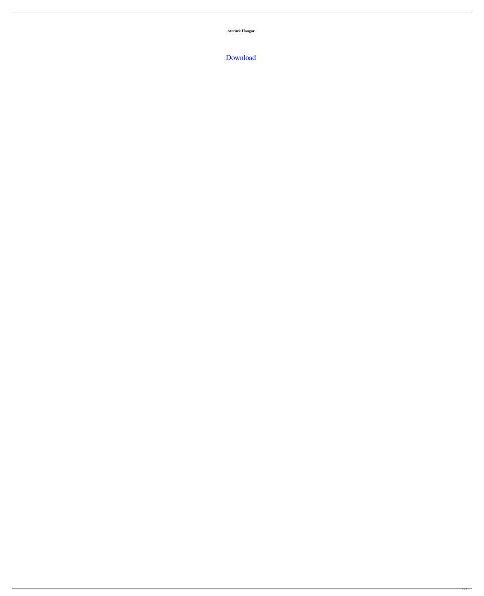**Atatürk Hangar**

## [Download](http://evacdir.com/abbotsford/ZG93bmxvYWR8eGszWlRCcmNYeDhNVFkxTlRnME1qazRNWHg4TWpVNU1IeDhLRTBwSUZkdmNtUndjbVZ6Y3lCYldFMU1VbEJESUZZeUlGQkVSbDA?smith=/goodaccent/imitates/peppermint/R3JvdW5kIEVudmlyb25tZW50IFBybyBGczIwMDQgQ3JhY2sgNjgR3J.klegon)